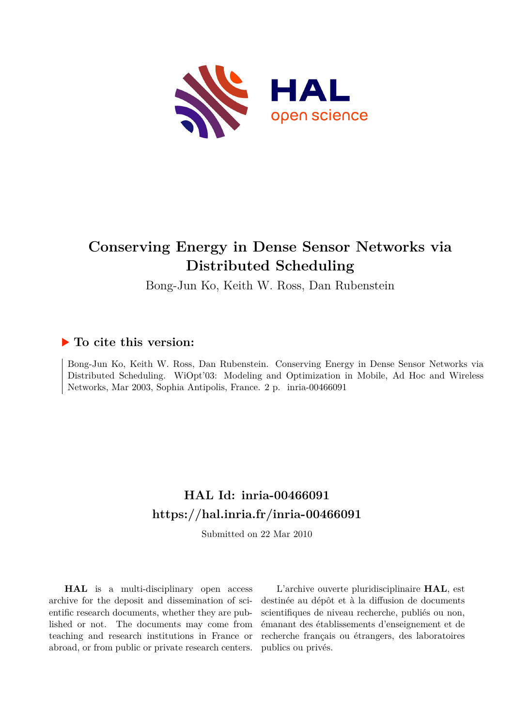

# **Conserving Energy in Dense Sensor Networks via Distributed Scheduling**

Bong-Jun Ko, Keith W. Ross, Dan Rubenstein

### **To cite this version:**

Bong-Jun Ko, Keith W. Ross, Dan Rubenstein. Conserving Energy in Dense Sensor Networks via Distributed Scheduling. WiOpt'03: Modeling and Optimization in Mobile, Ad Hoc and Wireless Networks, Mar 2003, Sophia Antipolis, France. 2 p. inria-00466091

## **HAL Id: inria-00466091 <https://hal.inria.fr/inria-00466091>**

Submitted on 22 Mar 2010

**HAL** is a multi-disciplinary open access archive for the deposit and dissemination of scientific research documents, whether they are published or not. The documents may come from teaching and research institutions in France or abroad, or from public or private research centers.

L'archive ouverte pluridisciplinaire **HAL**, est destinée au dépôt et à la diffusion de documents scientifiques de niveau recherche, publiés ou non, émanant des établissements d'enseignement et de recherche français ou étrangers, des laboratoires publics ou privés.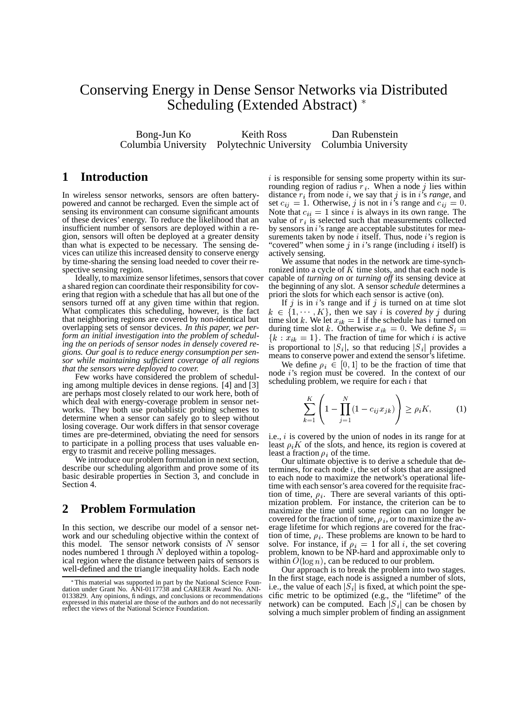## Conserving Energy in Dense Sensor Networks via Distributed Scheduling (Extended Abstract)<sup>\*</sup>

Bong-Jun Ko Keith Ross Dan Rubenstein Columbia University Polytechnic University Columbia University

#### **1 Introduction**

In wireless sensor networks, sensors are often batterypowered and cannot be recharged. Even the simple act of sensing its environment can consume significant amounts of these devices' energy. To reduce the likelihood that an insufficient number of sensors are deployed within a region, sensors will often be deployed at a greater density than what is expected to be necessary. The sensing devices can utilize this increased density to conserve energy by time-sharing the sensing load needed to cover their respective sensing region.

Ideally, to maximize sensor lifetimes, sensors that cover a shared region can coordinate their responsibility for covering that region with a schedule that has all but one of the sensors turned off at any given time within that region. What complicates this scheduling, however, is the fact that neighboring regions are covered by non-identical but overlapping sets of sensor devices. *In this paper, we perform an initial investigation into the problem of scheduling the on periods of sensor nodes in densely covered regions. Our goal is to reduce energy consumption per sensor while maintaining sufficient coverage of all regions that the sensors were deployed to cover.*

Few works have considered the problem of scheduling among multiple devices in dense regions. [4] and [3] are perhaps most closely related to our work here, both of which deal with energy-coverage problem in sensor networks. They both use probablistic probing schemes to determine when a sensor can safely go to sleep without losing coverage. Our work differs in that sensor coverage times are pre-determined, obviating the need for sensors to participate in a polling process that uses valuable energy to trasmit and receive polling messages.

We introduce our problem formulation in next section, describe our scheduling algorithm and prove some of its basic desirable properties in Section 3, and conclude in Section 4.

#### **2 Problem Formulation**

In this section, we describe our model of a sensor network and our scheduling objective within the context of this model. The sensor network consists of  $N$  sensor solve nodes numbered 1 through  $N$  deployed within a topological region where the distance between pairs of sensors is well-defined and the triangle inequality holds. Each node

 $i$  is responsible for sensing some property within its surrounding region of radius  $r_i$ . When a node j lies within distance  $r_i$  from node i, we say that j is in is *range*, and set  $c_{ij} = 1$ . Otherwise, j is not in i's range and  $c_{ij} = 0$ . Note that  $c_{ii} = 1$  since *i* is always in its own range. The value of  $r_i$  is selected such that measurements collected by sensors in *i*'s range are acceptable substitutes for measurements taken by node  $i$  itself. Thus, node  $i$ 's region is "covered" when some  $j$  in  $i$ 's range (including  $i$  itself) is actively sensing.

We assume that nodes in the network are time-synchronized into a cycle of  $K$  time slots, and that each node is capable of *turning on* or *turning off* its sensing device at the beginning of any slot. A sensor *schedule* determines a priori the slots for which each sensor is active (on).

If  $j$  is in  $i$ 's range and if  $j$  is turned on at time slot  $k \in \{1, \dots, K\}$ , then we say *i* is *covered* by *j* during time slot k. We let  $x_{ik} = 1$  if the schedule has i turned on during time slot k. Otherwise  $x_{ik} = 0$ . We define  $S_i =$  ${k : x_{ik} = 1}.$  The fraction of time for which i is active is proportional to  $|S_i|$ , so that reducing  $|S_i|$  provides a means to conserve power and extend the sensor's lifetime.

We define  $\rho_i \in [0, 1]$  to be the fraction of time that node 's region must be covered. In the context of our scheduling problem, we require for each  $i$  that

$$
\sum_{k=1}^{K} \left( 1 - \prod_{j=1}^{N} (1 - c_{ij} x_{jk}) \right) \ge \rho_i K, \tag{1}
$$

i.e.,  $i$  is covered by the union of nodes in its range for at least  $\rho_i K$  of the slots, and hence, its region is covered at least a fraction  $\rho_i$  of the time.

Our ultimate objective is to derive a schedule that determines, for each node  $i$ , the set of slots that are assigned to each node to maximize the network's operational lifetime with each sensor's area covered for the requisite fraction of time,  $\rho_i$ . There are several variants of this optimization problem. For instance, the criterion can be to maximize the time until some region can no longer be covered for the fraction of time,  $\rho_i$ , or to maximize the average lifetime for which regions are covered for the fraction of time,  $\rho_i$ . These problems are known to be hard to solve. For instance, if  $\rho_i = 1$  for all i, the set covering problem, known to be NP-hard and approximable only to within  $O(\log n)$ , can be reduced to our problem.<br>Our approach is to break the problem into two

Our approach is to break the problem into two stages. In the first stage, each node is assigned a number of slots, i.e., the value of each  $|S_i|$  is fixed, at which point the specific metric to be optimized (e.g., the "lifetime" of the network) can be computed. Each  $|S_i|$  can be chosen by solving a much simpler problem of finding an assignment

<sup>-</sup> This material was supported in part by the National Science Foun-dation under Grant No. ANI-0117738 and CAREER Award No. ANI-0133829. Any opinions, findings, and conclusions or recommendations expressed in this material are those of the authors and do not necessarily reflect the views of the National Science Foundation.